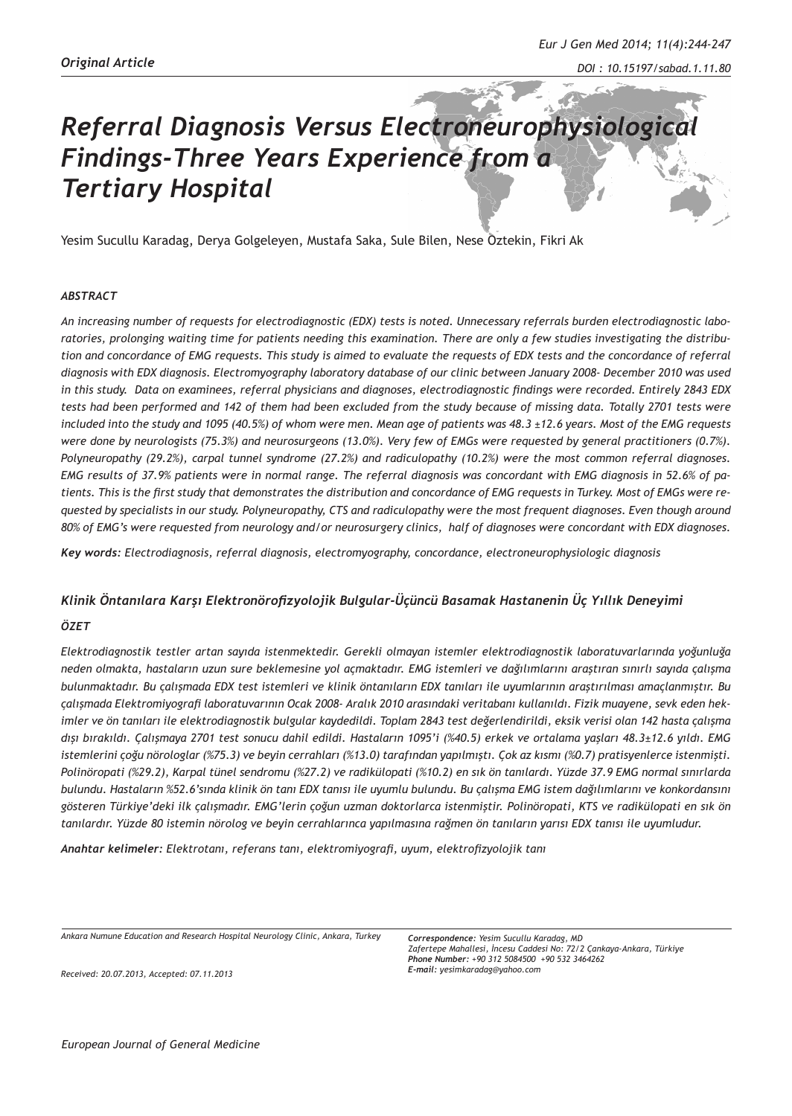# *Referral Diagnosis Versus Electroneurophysiological Findings-Three Years Experience from a Tertiary Hospital*

Yesim Sucullu Karadag, Derya Golgeleyen, Mustafa Saka, Sule Bilen, Nese Oztekin, Fikri Ak

#### *ABSTRACT*

*An increasing number of requests for electrodiagnostic (EDX) tests is noted. Unnecessary referrals burden electrodiagnostic laboratories, prolonging waiting time for patients needing this examination. There are only a few studies investigating the distribution and concordance of EMG requests. This study is aimed to evaluate the requests of EDX tests and the concordance of referral diagnosis with EDX diagnosis. Electromyography laboratory database of our clinic between January 2008- December 2010 was used in this study. Data on examinees, referral physicians and diagnoses, electrodiagnostic findings were recorded. Entirely 2843 EDX tests had been performed and 142 of them had been excluded from the study because of missing data. Totally 2701 tests were included into the study and 1095 (40.5%) of whom were men. Mean age of patients was 48.3 ±12.6 years. Most of the EMG requests were done by neurologists (75.3%) and neurosurgeons (13.0%). Very few of EMGs were requested by general practitioners (0.7%). Polyneuropathy (29.2%), carpal tunnel syndrome (27.2%) and radiculopathy (10.2%) were the most common referral diagnoses. EMG results of 37.9% patients were in normal range. The referral diagnosis was concordant with EMG diagnosis in 52.6% of patients. This is the first study that demonstrates the distribution and concordance of EMG requests in Turkey. Most of EMGs were requested by specialists in our study. Polyneuropathy, CTS and radiculopathy were the most frequent diagnoses. Even though around 80% of EMG's were requested from neurology and/or neurosurgery clinics, half of diagnoses were concordant with EDX diagnoses.* 

*Key words: Electrodiagnosis, referral diagnosis, electromyography, concordance, electroneurophysiologic diagnosis*

#### *Klinik Öntanılara Karşı Elektronörofizyolojik Bulgular-Üçüncü Basamak Hastanenin Üç Yıllık Deneyimi*

#### *ÖZET*

*Elektrodiagnostik testler artan sayıda istenmektedir. Gerekli olmayan istemler elektrodiagnostik laboratuvarlarında yoğunluğa neden olmakta, hastaların uzun sure beklemesine yol açmaktadır. EMG istemleri ve dağılımlarını araştıran sınırlı sayıda çalışma bulunmaktadır. Bu çalışmada EDX test istemleri ve klinik öntanıların EDX tanıları ile uyumlarının araştırılması amaçlanmıştır. Bu çalışmada Elektromiyografi laboratuvarının Ocak 2008- Aralık 2010 arasındaki veritabanı kullanıldı. Fizik muayene, sevk eden hekimler ve ön tanıları ile elektrodiagnostik bulgular kaydedildi. Toplam 2843 test değerlendirildi, eksik verisi olan 142 hasta çalışma dışı bırakıldı. Çalışmaya 2701 test sonucu dahil edildi. Hastaların 1095'i (%40.5) erkek ve ortalama yaşları 48.3±12.6 yıldı. EMG istemlerini çoğu nörologlar (%75.3) ve beyin cerrahları (%13.0) tarafından yapılmıştı. Çok az kısmı (%0.7) pratisyenlerce istenmişti. Polinöropati (%29.2), Karpal tünel sendromu (%27.2) ve radikülopati (%10.2) en sık ön tanılardı. Yüzde 37.9 EMG normal sınırlarda bulundu. Hastaların %52.6'sında klinik ön tanı EDX tanısı ile uyumlu bulundu. Bu çalışma EMG istem dağılımlarını ve konkordansını gösteren Türkiye'deki ilk çalışmadır. EMG'lerin çoğun uzman doktorlarca istenmiştir. Polinöropati, KTS ve radikülopati en sık ön tanılardır. Yüzde 80 istemin nörolog ve beyin cerrahlarınca yapılmasına rağmen ön tanıların yarısı EDX tanısı ile uyumludur.* 

*Anahtar kelimeler: Elektrotanı, referans tanı, elektromiyografi, uyum, elektrofizyolojik tanı*

*Ankara Numune Education and Research Hospital Neurology Clinic, Ankara, Turkey*

*Received: 20.07.2013, Accepted: 07.11.2013*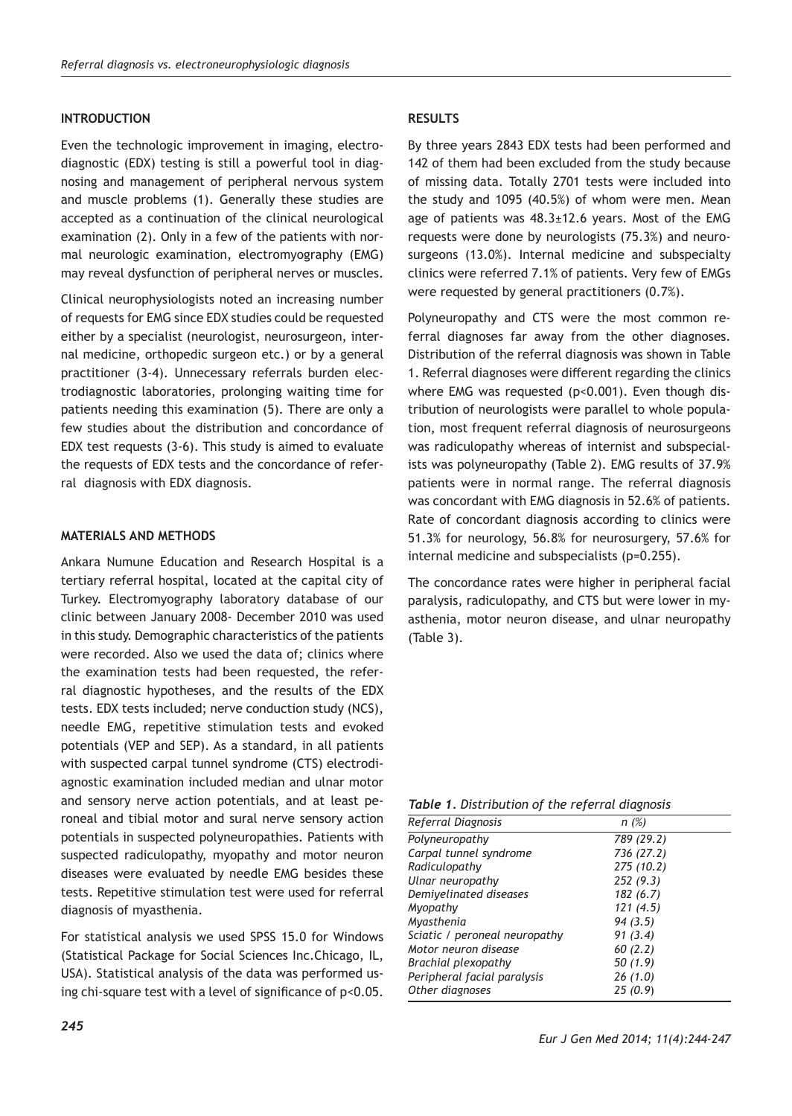#### **INTRODUCTION**

Even the technologic improvement in imaging, electrodiagnostic (EDX) testing is still a powerful tool in diagnosing and management of peripheral nervous system and muscle problems (1). Generally these studies are accepted as a continuation of the clinical neurological examination (2). Only in a few of the patients with normal neurologic examination, electromyography (EMG) may reveal dysfunction of peripheral nerves or muscles.

Clinical neurophysiologists noted an increasing number of requests for EMG since EDX studies could be requested either by a specialist (neurologist, neurosurgeon, internal medicine, orthopedic surgeon etc.) or by a general practitioner (3-4). Unnecessary referrals burden electrodiagnostic laboratories, prolonging waiting time for patients needing this examination (5). There are only a few studies about the distribution and concordance of EDX test requests (3-6). This study is aimed to evaluate the requests of EDX tests and the concordance of referral diagnosis with EDX diagnosis.

#### **MATERIALS AND METHODS**

Ankara Numune Education and Research Hospital is a tertiary referral hospital, located at the capital city of Turkey. Electromyography laboratory database of our clinic between January 2008- December 2010 was used in this study. Demographic characteristics of the patients were recorded. Also we used the data of; clinics where the examination tests had been requested, the referral diagnostic hypotheses, and the results of the EDX tests. EDX tests included; nerve conduction study (NCS), needle EMG, repetitive stimulation tests and evoked potentials (VEP and SEP). As a standard, in all patients with suspected carpal tunnel syndrome (CTS) electrodiagnostic examination included median and ulnar motor and sensory nerve action potentials, and at least peroneal and tibial motor and sural nerve sensory action potentials in suspected polyneuropathies. Patients with suspected radiculopathy, myopathy and motor neuron diseases were evaluated by needle EMG besides these tests. Repetitive stimulation test were used for referral diagnosis of myasthenia.

For statistical analysis we used SPSS 15.0 for Windows (Statistical Package for Social Sciences Inc.Chicago, IL, USA). Statistical analysis of the data was performed using chi-square test with a level of significance of p<0.05.

## **RESULTS**

By three years 2843 EDX tests had been performed and 142 of them had been excluded from the study because of missing data. Totally 2701 tests were included into the study and 1095 (40.5%) of whom were men. Mean age of patients was  $48.3 \pm 12.6$  years. Most of the EMG requests were done by neurologists (75.3%) and neurosurgeons (13.0%). Internal medicine and subspecialty clinics were referred 7.1% of patients. Very few of EMGs were requested by general practitioners (0.7%).

Polyneuropathy and CTS were the most common referral diagnoses far away from the other diagnoses. Distribution of the referral diagnosis was shown in Table 1. Referral diagnoses were different regarding the clinics where EMG was requested (p<0.001). Even though distribution of neurologists were parallel to whole population, most frequent referral diagnosis of neurosurgeons was radiculopathy whereas of internist and subspecialists was polyneuropathy (Table 2). EMG results of 37.9% patients were in normal range. The referral diagnosis was concordant with EMG diagnosis in 52.6% of patients. Rate of concordant diagnosis according to clinics were 51.3% for neurology, 56.8% for neurosurgery, 57.6% for internal medicine and subspecialists (p=0.255).

The concordance rates were higher in peripheral facial paralysis, radiculopathy, and CTS but were lower in myasthenia, motor neuron disease, and ulnar neuropathy (Table 3).

*Table 1. Distribution of the referral diagnosis*

| Referral Diagnosis            | n(%)       |  |  |  |
|-------------------------------|------------|--|--|--|
| Polyneuropathy                | 789 (29.2) |  |  |  |
| Carpal tunnel syndrome        | 736 (27.2) |  |  |  |
| Radiculopathy                 | 275 (10.2) |  |  |  |
| Ulnar neuropathy              | 252(9.3)   |  |  |  |
| Demiyelinated diseases        | 182(6.7)   |  |  |  |
| Myopathy                      | 121(4.5)   |  |  |  |
| Myasthenia                    | 94(3.5)    |  |  |  |
| Sciatic / peroneal neuropathy | 91(3.4)    |  |  |  |
| Motor neuron disease          | 60(2.2)    |  |  |  |
| Brachial plexopathy           | 50(1.9)    |  |  |  |
| Peripheral facial paralysis   | 26 (1.0)   |  |  |  |
| Other diagnoses               | 25(0.9)    |  |  |  |
|                               |            |  |  |  |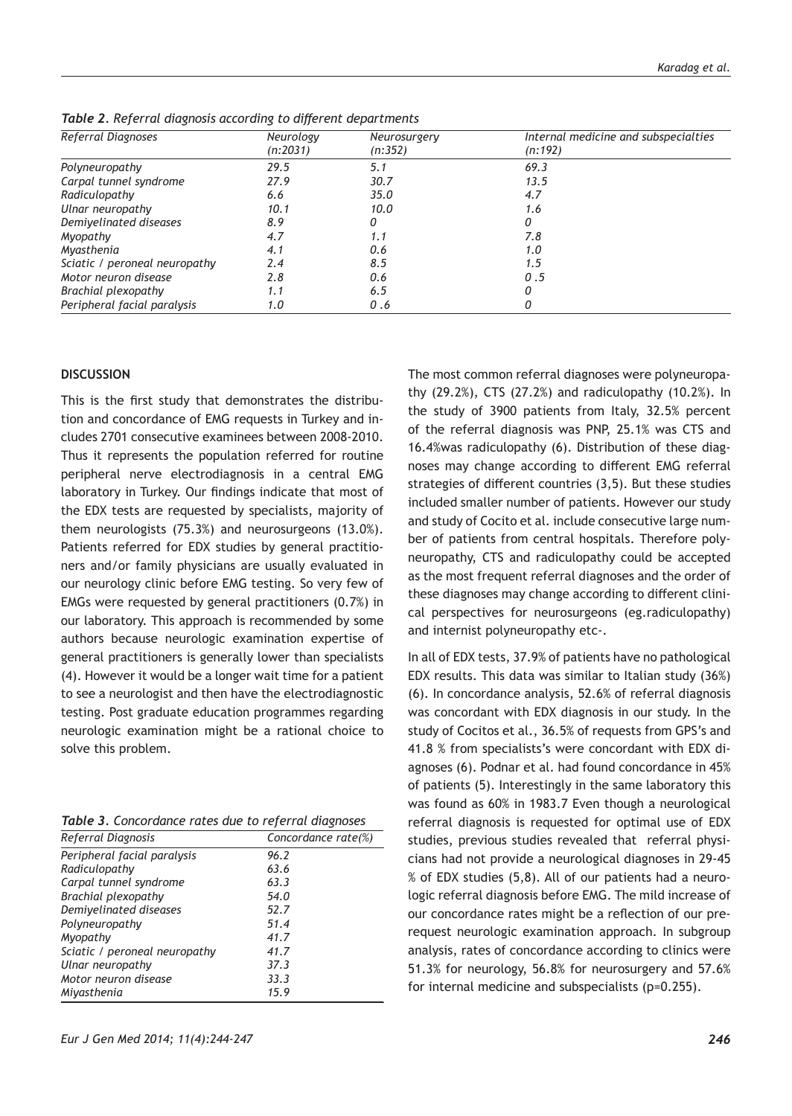| Referral Diagnoses            | Neurology | Neurosurgery | Internal medicine and subspecialties |
|-------------------------------|-----------|--------------|--------------------------------------|
|                               | (n:2031)  | (n:352)      | (n:192)                              |
| Polyneuropathy                | 29.5      | 5.1          | 69.3                                 |
| Carpal tunnel syndrome        | 27.9      | 30.7         | 13.5                                 |
| Radiculopathy                 | 6.6       | 35.0         | 4.7                                  |
| Ulnar neuropathy              | 10.1      | 10.0         | 1.6                                  |
| Demiyelinated diseases        | 8.9       |              | 0                                    |
| Myopathy                      | 4.7       | 1.1          | 7.8                                  |
| Myasthenia                    | 4.1       | 0.6          | 1.0                                  |
| Sciatic / peroneal neuropathy | 2.4       | 8.5          | 1.5                                  |
| Motor neuron disease          | 2.8       | 0.6          | 0.5                                  |
| Brachial plexopathy           | 1.1       | 6.5          | Ω                                    |
| Peripheral facial paralysis   | 1.0       | 0.6          |                                      |

*Table 2. Referral diagnosis according to different departments*

### **DISCUSSION**

This is the first study that demonstrates the distribution and concordance of EMG requests in Turkey and includes 2701 consecutive examinees between 2008-2010. Thus it represents the population referred for routine peripheral nerve electrodiagnosis in a central EMG laboratory in Turkey. Our findings indicate that most of the EDX tests are requested by specialists, majority of them neurologists (75.3%) and neurosurgeons (13.0%). Patients referred for EDX studies by general practitioners and/or family physicians are usually evaluated in our neurology clinic before EMG testing. So very few of EMGs were requested by general practitioners (0.7%) in our laboratory. This approach is recommended by some authors because neurologic examination expertise of general practitioners is generally lower than specialists (4). However it would be a longer wait time for a patient to see a neurologist and then have the electrodiagnostic testing. Post graduate education programmes regarding neurologic examination might be a rational choice to solve this problem.

| Table 3. Concordance rates due to referral diagnoses |
|------------------------------------------------------|
|------------------------------------------------------|

| Referral Diagnosis            | Concordance rate(%) |
|-------------------------------|---------------------|
| Peripheral facial paralysis   | 96.2                |
| Radiculopathy                 | 63.6                |
| Carpal tunnel syndrome        | 63.3                |
| Brachial plexopathy           | 54.0                |
| Demivelinated diseases        | 52.7                |
| Polyneuropathy                | 51.4                |
| Myopathy                      | 41.7                |
| Sciatic / peroneal neuropathy | 41.7                |
| Ulnar neuropathy              | 37.3                |
| Motor neuron disease          | 33.3                |
| Mivasthenia                   | 15.9                |

The most common referral diagnoses were polyneuropathy (29.2%), CTS (27.2%) and radiculopathy (10.2%). In the study of 3900 patients from Italy, 32.5% percent of the referral diagnosis was PNP, 25.1% was CTS and 16.4%was radiculopathy (6). Distribution of these diagnoses may change according to different EMG referral strategies of different countries (3,5). But these studies included smaller number of patients. However our study and study of Cocito et al. include consecutive large number of patients from central hospitals. Therefore polyneuropathy, CTS and radiculopathy could be accepted as the most frequent referral diagnoses and the order of these diagnoses may change according to different clinical perspectives for neurosurgeons (eg.radiculopathy) and internist polyneuropathy etc-.

In all of EDX tests, 37.9% of patients have no pathological EDX results. This data was similar to Italian study (36%) (6). In concordance analysis, 52.6% of referral diagnosis was concordant with EDX diagnosis in our study. In the study of Cocitos et al., 36.5% of requests from GPS's and 41.8 % from specialists's were concordant with EDX diagnoses (6). Podnar et al. had found concordance in 45% of patients (5). Interestingly in the same laboratory this was found as 60% in 1983.7 Even though a neurological referral diagnosis is requested for optimal use of EDX studies, previous studies revealed that referral physicians had not provide a neurological diagnoses in 29-45 % of EDX studies (5,8). All of our patients had a neurologic referral diagnosis before EMG. The mild increase of our concordance rates might be a reflection of our prerequest neurologic examination approach. In subgroup analysis, rates of concordance according to clinics were 51.3% for neurology, 56.8% for neurosurgery and 57.6% for internal medicine and subspecialists (p=0.255).